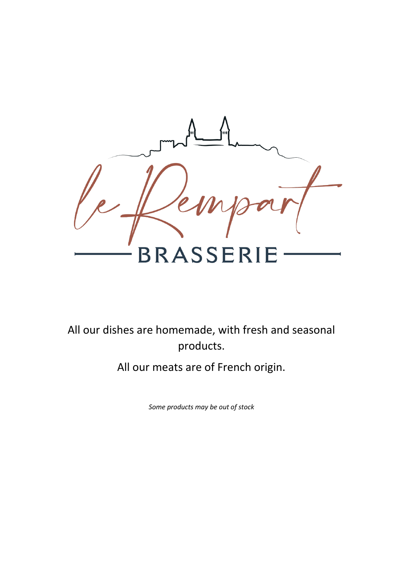

All our dishes are homemade, with fresh and seasonal products.

All our meats are of French origin.

*Some products may be out of stock*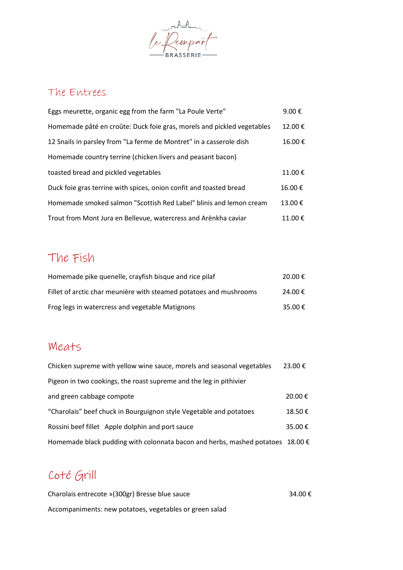

#### The Entrees

| Eggs meurette, organic egg from the farm "La Poule Verte"              | 9.00 € |
|------------------------------------------------------------------------|--------|
| Homemade pâté en croûte: Duck foie gras, morels and pickled vegetables | 12.00€ |
| 12 Snails in parsley from "La ferme de Montret" in a casserole dish    | 16.00€ |
| Homemade country terrine (chicken livers and peasant bacon)            |        |
| toasted bread and pickled vegetables                                   | 11.00€ |
| Duck foie gras terrine with spices, onion confit and toasted bread     | 16.00€ |
| Homemade smoked salmon "Scottish Red Label" blinis and lemon cream     | 13.00€ |
| Trout from Mont Jura en Bellevue, watercress and Arënkha caviar        | 11.00€ |

# The Fish

| Homemade pike quenelle, crayfish bisque and rice pilaf             | 20.00 € |
|--------------------------------------------------------------------|---------|
| Fillet of arctic char meunière with steamed potatoes and mushrooms | 24.00 € |
| Frog legs in watercress and vegetable Matignons                    | 35.00 € |

### Meats

| Chicken supreme with yellow wine sauce, morels and seasonal vegetables                  | 23.00€ |
|-----------------------------------------------------------------------------------------|--------|
| Pigeon in two cookings, the roast supreme and the leg in pithivier                      |        |
| and green cabbage compote                                                               | 20.00€ |
| "Charolais" beef chuck in Bourguignon style Vegetable and potatoes                      | 18.50€ |
| Rossini beef fillet Apple dolphin and port sauce                                        | 35.00€ |
| Homemade black pudding with colonnata bacon and herbs, mashed potatoes 18.00 $\epsilon$ |        |

# Coté Grill

| Charolais entrecote »(300gr) Bresse blue sauce          | 34.00€ |
|---------------------------------------------------------|--------|
| Accompaniments: new potatoes, vegetables or green salad |        |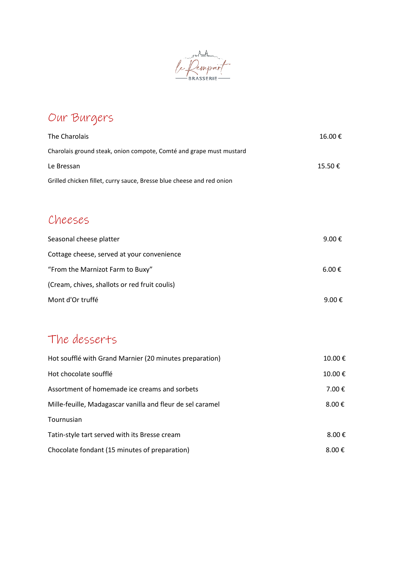

# Our Burgers

| The Charolais                                                         | 16.00€ |
|-----------------------------------------------------------------------|--------|
| Charolais ground steak, onion compote, Comté and grape must mustard   |        |
| Le Bressan                                                            | 15.50€ |
| Grilled chicken fillet, curry sauce, Bresse blue cheese and red onion |        |
|                                                                       |        |
| Cheeses                                                               |        |
| Seasonal cheese platter                                               | 9.00€  |

| Scusofiul cricese piuttei                     | <b>J.VU J</b> |
|-----------------------------------------------|---------------|
| Cottage cheese, served at your convenience    |               |
| "From the Marnizot Farm to Buxy"              | 6.00 €        |
| (Cream, chives, shallots or red fruit coulis) |               |
| Mont d'Or truffé                              | 9.00 €        |

### The desserts

| Hot soufflé with Grand Marnier (20 minutes preparation)    | $10.00 \in$         |
|------------------------------------------------------------|---------------------|
| Hot chocolate soufflé                                      | 10.00€              |
| Assortment of homemade ice creams and sorbets              | 7.00 €              |
| Mille-feuille, Madagascar vanilla and fleur de sel caramel | $8.00 \text{ } \in$ |
| Tournusian                                                 |                     |
| Tatin-style tart served with its Bresse cream              | 8.00 $\epsilon$     |
| Chocolate fondant (15 minutes of preparation)              | $8.00 \text{ } \in$ |